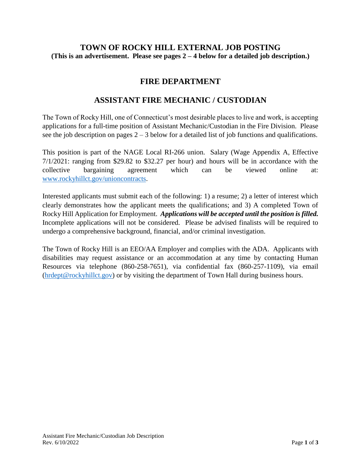## **TOWN OF ROCKY HILL EXTERNAL JOB POSTING (This is an advertisement. Please see pages 2 – 4 below for a detailed job description.)**

## **FIRE DEPARTMENT**

# **ASSISTANT FIRE MECHANIC / CUSTODIAN**

The Town of Rocky Hill, one of Connecticut's most desirable places to live and work, is accepting applications for a full-time position of Assistant Mechanic/Custodian in the Fire Division. Please see the job description on pages  $2 - 3$  below for a detailed list of job functions and qualifications.

This position is part of the NAGE Local RI-266 union. Salary (Wage Appendix A, Effective 7/1/2021: ranging from \$29.82 to \$32.27 per hour) and hours will be in accordance with the collective bargaining agreement which can be viewed online at: [www.rockyhillct.gov/unioncontracts.](http://www.rockyhillct.gov/unioncontracts)

Interested applicants must submit each of the following: 1) a resume; 2) a letter of interest which clearly demonstrates how the applicant meets the qualifications; and 3) A completed Town of Rocky Hill Application for Employment. *Applications will be accepted until the position is filled.* Incomplete applications will not be considered. Please be advised finalists will be required to undergo a comprehensive background, financial, and/or criminal investigation.

The Town of Rocky Hill is an EEO/AA Employer and complies with the ADA. Applicants with disabilities may request assistance or an accommodation at any time by contacting Human Resources via telephone (860-258-7651), via confidential fax (860-257-1109), via email [\(hrdept@rockyhillct.gov\)](mailto:hrdept@rockyhillct.gov) or by visiting the department of Town Hall during business hours.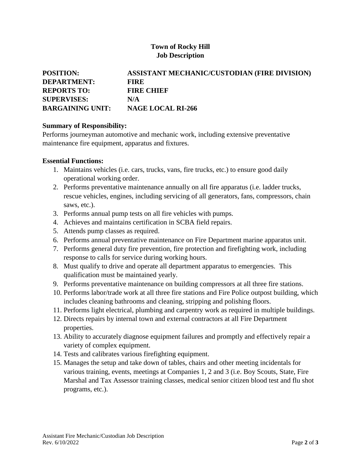### **Town of Rocky Hill Job Description**

| <b>POSITION:</b>        | ASSISTANT MECHANIC/CUSTODIAN (FIRE DIVISION) |
|-------------------------|----------------------------------------------|
| <b>DEPARTMENT:</b>      | EIRE                                         |
| <b>REPORTS TO:</b>      | <b>FIRE CHIEF</b>                            |
| <b>SUPERVISES:</b>      | N/A                                          |
| <b>BARGAINING UNIT:</b> | <b>NAGE LOCAL RI-266</b>                     |

#### **Summary of Responsibility:**

Performs journeyman automotive and mechanic work, including extensive preventative maintenance fire equipment, apparatus and fixtures.

#### **Essential Functions:**

- 1. Maintains vehicles (i.e. cars, trucks, vans, fire trucks, etc.) to ensure good daily operational working order.
- 2. Performs preventative maintenance annually on all fire apparatus (i.e. ladder trucks, rescue vehicles, engines, including servicing of all generators, fans, compressors, chain saws, etc.).
- 3. Performs annual pump tests on all fire vehicles with pumps.
- 4. Achieves and maintains certification in SCBA field repairs.
- 5. Attends pump classes as required.
- 6. Performs annual preventative maintenance on Fire Department marine apparatus unit.
- 7. Performs general duty fire prevention, fire protection and firefighting work, including response to calls for service during working hours.
- 8. Must qualify to drive and operate all department apparatus to emergencies. This qualification must be maintained yearly.
- 9. Performs preventative maintenance on building compressors at all three fire stations.
- 10. Performs labor/trade work at all three fire stations and Fire Police outpost building, which includes cleaning bathrooms and cleaning, stripping and polishing floors.
- 11. Performs light electrical, plumbing and carpentry work as required in multiple buildings.
- 12. Directs repairs by internal town and external contractors at all Fire Department properties.
- 13. Ability to accurately diagnose equipment failures and promptly and effectively repair a variety of complex equipment.
- 14. Tests and calibrates various firefighting equipment.
- 15. Manages the setup and take down of tables, chairs and other meeting incidentals for various training, events, meetings at Companies 1, 2 and 3 (i.e. Boy Scouts, State, Fire Marshal and Tax Assessor training classes, medical senior citizen blood test and flu shot programs, etc.).